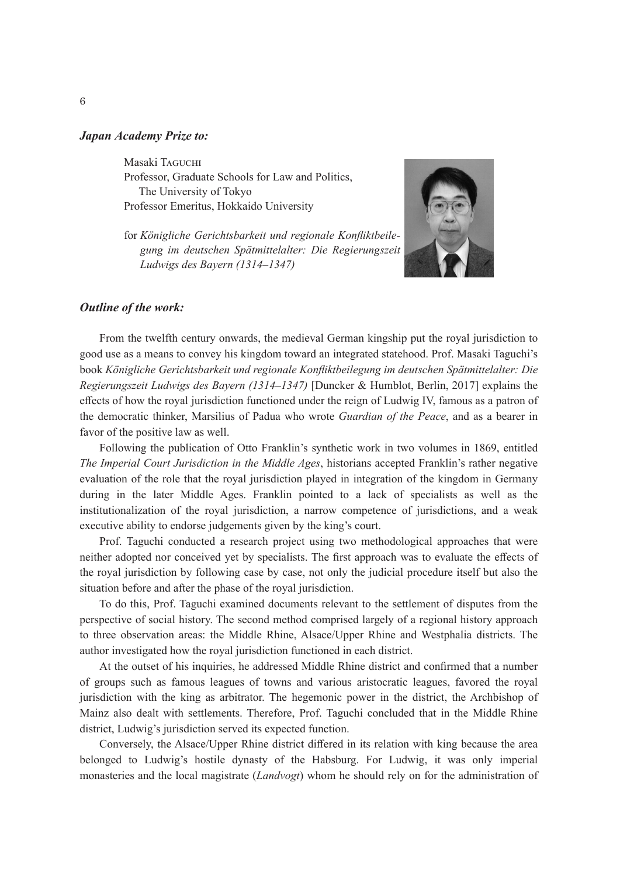## *Japan Academy Prize to:*

Masaki Taguchi Professor, Graduate Schools for Law and Politics, The University of Tokyo Professor Emeritus, Hokkaido University

for *Königliche Gerichtsbarkeit und regionale Konfliktbeilegung im deutschen Spätmittelalter: Die Regierungszeit Ludwigs des Bayern (1314–1347)*



## *Outline of the work:*

From the twelfth century onwards, the medieval German kingship put the royal jurisdiction to good use as a means to convey his kingdom toward an integrated statehood. Prof. Masaki Taguchi's book *Königliche Gerichtsbarkeit und regionale Konfliktbeilegung im deutschen Spätmittelalter: Die Regierungszeit Ludwigs des Bayern (1314–1347)* [Duncker & Humblot, Berlin, 2017] explains the effects of how the royal jurisdiction functioned under the reign of Ludwig IV, famous as a patron of the democratic thinker, Marsilius of Padua who wrote *Guardian of the Peace*, and as a bearer in favor of the positive law as well.

Following the publication of Otto Franklin's synthetic work in two volumes in 1869, entitled *The Imperial Court Jurisdiction in the Middle Ages*, historians accepted Franklin's rather negative evaluation of the role that the royal jurisdiction played in integration of the kingdom in Germany during in the later Middle Ages. Franklin pointed to a lack of specialists as well as the institutionalization of the royal jurisdiction, a narrow competence of jurisdictions, and a weak executive ability to endorse judgements given by the king's court.

Prof. Taguchi conducted a research project using two methodological approaches that were neither adopted nor conceived yet by specialists. The first approach was to evaluate the effects of the royal jurisdiction by following case by case, not only the judicial procedure itself but also the situation before and after the phase of the royal jurisdiction.

To do this, Prof. Taguchi examined documents relevant to the settlement of disputes from the perspective of social history. The second method comprised largely of a regional history approach to three observation areas: the Middle Rhine, Alsace/Upper Rhine and Westphalia districts. The author investigated how the royal jurisdiction functioned in each district.

At the outset of his inquiries, he addressed Middle Rhine district and confirmed that a number of groups such as famous leagues of towns and various aristocratic leagues, favored the royal jurisdiction with the king as arbitrator. The hegemonic power in the district, the Archbishop of Mainz also dealt with settlements. Therefore, Prof. Taguchi concluded that in the Middle Rhine district, Ludwig's jurisdiction served its expected function.

Conversely, the Alsace/Upper Rhine district differed in its relation with king because the area belonged to Ludwig's hostile dynasty of the Habsburg. For Ludwig, it was only imperial monasteries and the local magistrate (*Landvogt*) whom he should rely on for the administration of